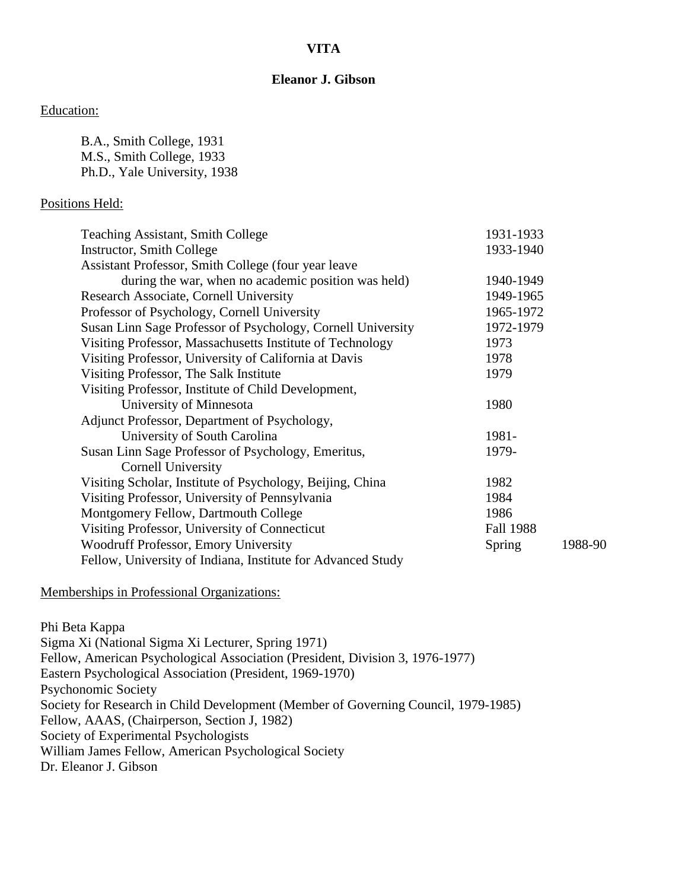## **VITA**

## **Eleanor J. Gibson**

#### Education:

B.A., Smith College, 1931 M.S., Smith College, 1933 Ph.D., Yale University, 1938

### Positions Held:

| <b>Teaching Assistant, Smith College</b>                    | 1931-1933        |         |
|-------------------------------------------------------------|------------------|---------|
| <b>Instructor, Smith College</b>                            | 1933-1940        |         |
| Assistant Professor, Smith College (four year leave         |                  |         |
| during the war, when no academic position was held)         | 1940-1949        |         |
| Research Associate, Cornell University                      | 1949-1965        |         |
| Professor of Psychology, Cornell University                 | 1965-1972        |         |
| Susan Linn Sage Professor of Psychology, Cornell University | 1972-1979        |         |
| Visiting Professor, Massachusetts Institute of Technology   | 1973             |         |
| Visiting Professor, University of California at Davis       | 1978             |         |
| Visiting Professor, The Salk Institute                      | 1979             |         |
| Visiting Professor, Institute of Child Development,         |                  |         |
| University of Minnesota                                     | 1980             |         |
| Adjunct Professor, Department of Psychology,                |                  |         |
| University of South Carolina                                | 1981-            |         |
| Susan Linn Sage Professor of Psychology, Emeritus,          | 1979-            |         |
| Cornell University                                          |                  |         |
| Visiting Scholar, Institute of Psychology, Beijing, China   | 1982             |         |
| Visiting Professor, University of Pennsylvania              | 1984             |         |
| Montgomery Fellow, Dartmouth College                        | 1986             |         |
| Visiting Professor, University of Connecticut               | <b>Fall 1988</b> |         |
| <b>Woodruff Professor, Emory University</b>                 | Spring           | 1988-90 |
| Fellow, University of Indiana, Institute for Advanced Study |                  |         |

#### Memberships in Professional Organizations:

Phi Beta Kappa Sigma Xi (National Sigma Xi Lecturer, Spring 1971) Fellow, American Psychological Association (President, Division 3, 1976-1977) Eastern Psychological Association (President, 1969-1970) Psychonomic Society Society for Research in Child Development (Member of Governing Council, 1979-1985) Fellow, AAAS, (Chairperson, Section J, 1982) Society of Experimental Psychologists William James Fellow, American Psychological Society Dr. Eleanor J. Gibson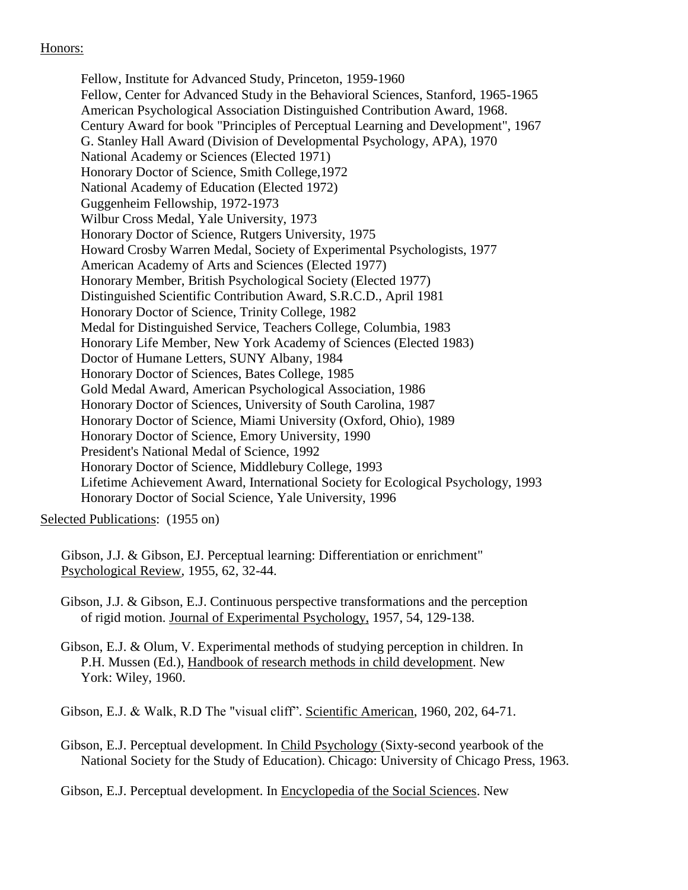# Honors:

Fellow, Institute for Advanced Study, Princeton, 1959-1960 Fellow, Center for Advanced Study in the Behavioral Sciences, Stanford, 1965-1965 American Psychological Association Distinguished Contribution Award, 1968. Century Award for book "Principles of Perceptual Learning and Development", 1967 G. Stanley Hall Award (Division of Developmental Psychology, APA), 1970 National Academy or Sciences (Elected 1971) Honorary Doctor of Science, Smith College,1972 National Academy of Education (Elected 1972) Guggenheim Fellowship, 1972-1973 Wilbur Cross Medal, Yale University, 1973 Honorary Doctor of Science, Rutgers University, 1975 Howard Crosby Warren Medal, Society of Experimental Psychologists, 1977 American Academy of Arts and Sciences (Elected 1977) Honorary Member, British Psychological Society (Elected 1977) Distinguished Scientific Contribution Award, S.R.C.D., April 1981 Honorary Doctor of Science, Trinity College, 1982 Medal for Distinguished Service, Teachers College, Columbia, 1983 Honorary Life Member, New York Academy of Sciences (Elected 1983) Doctor of Humane Letters, SUNY Albany, 1984 Honorary Doctor of Sciences, Bates College, 1985 Gold Medal Award, American Psychological Association, 1986 Honorary Doctor of Sciences, University of South Carolina, 1987 Honorary Doctor of Science, Miami University (Oxford, Ohio), 1989 Honorary Doctor of Science, Emory University, 1990 President's National Medal of Science, 1992 Honorary Doctor of Science, Middlebury College, 1993 Lifetime Achievement Award, International Society for Ecological Psychology, 1993 Honorary Doctor of Social Science, Yale University, 1996

Selected Publications: (1955 on)

Gibson, J.J. & Gibson, EJ. Perceptual learning: Differentiation or enrichment" Psychological Review, 1955, 62, 32-44.

Gibson, J.J. & Gibson, E.J. Continuous perspective transformations and the perception of rigid motion. Journal of Experimental Psychology, 1957, 54, 129-138.

Gibson, E.J. & Olum, V. Experimental methods of studying perception in children. In P.H. Mussen (Ed.), Handbook of research methods in child development. New York: Wiley, 1960.

Gibson, E.J. & Walk, R.D The "visual cliff". Scientific American, 1960, 202, 64-71.

Gibson, E.J. Perceptual development. In Child Psychology (Sixty-second yearbook of the National Society for the Study of Education). Chicago: University of Chicago Press, 1963.

Gibson, E.J. Perceptual development. In Encyclopedia of the Social Sciences. New